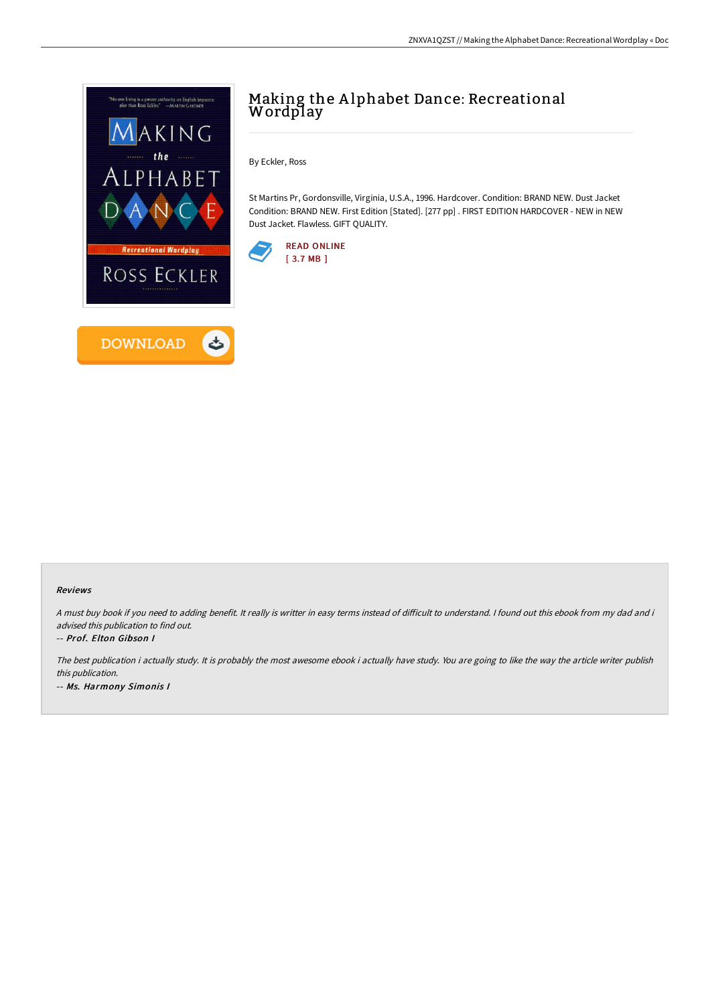

## Making the A lphabet Dance: Recreational Wordplay

By Eckler, Ross

St Martins Pr, Gordonsville, Virginia, U.S.A., 1996. Hardcover. Condition: BRAND NEW. Dust Jacket Condition: BRAND NEW. First Edition [Stated]. [277 pp] . FIRST EDITION HARDCOVER - NEW in NEW Dust Jacket. Flawless. GIFT QUALITY.



### Reviews

A must buy book if you need to adding benefit. It really is writter in easy terms instead of difficult to understand. I found out this ebook from my dad and i advised this publication to find out.

#### -- Prof. Elton Gibson I

The best publication i actually study. It is probably the most awesome ebook i actually have study. You are going to like the way the article writer publish this publication. -- Ms. Harmony Simonis I